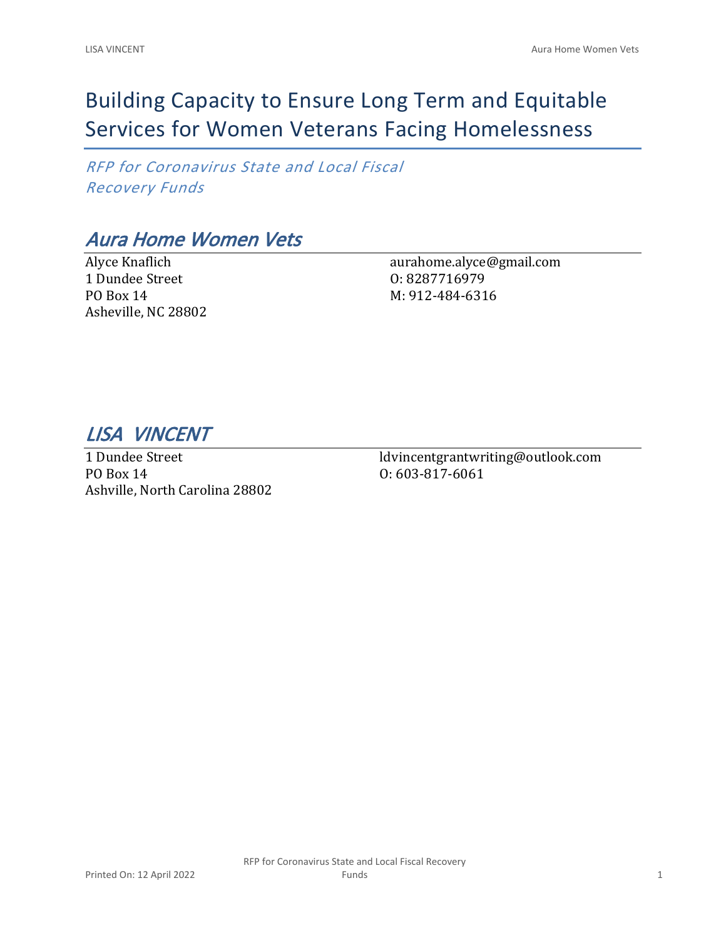# Building Capacity to Ensure Long Term and Equitable Services for Women Veterans Facing Homelessness

*RFP for Coronavirus State and Local Fiscal Recovery Funds*

## *Aura Home Women Vets*

Alyce Knaflich 1 Dundee Street PO Box 14 Asheville, NC 28802 aurahome.alyce@gmail.com O: 8287716979 M: 912-484-6316

*LISA VINCENT* 

1 Dundee Street PO Box 14 Ashville, North Carolina 28802 ldvincentgrantwriting@outlook.com O: 603-817-6061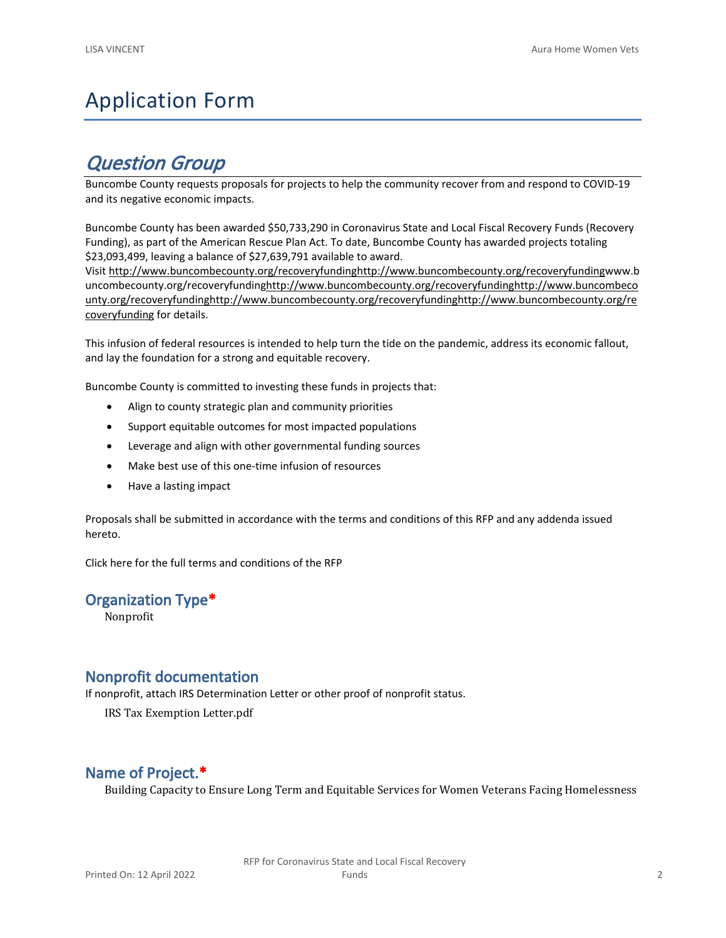## Application Form

## *Question Group*

Buncombe County requests proposals for projects to help the community recover from and respond to COVID-19 and its negative economic impacts.

Buncombe County has been awarded \$50,733,290 in Coronavirus State and Local Fiscal Recovery Funds (Recovery Funding), as part of the American Rescue Plan Act. To date, Buncombe County has awarded projects totaling \$23,093,499, leaving a balance of \$27,639,791 available to award.

Visit [http://www.buncombecounty.org/recoveryfundinghttp://www.buncombecounty.org/recoveryfundingwww.b](http://www.buncombecounty.org/recoveryfunding) [uncombecounty.org/recoveryfundinghttp://www.buncombecounty.org/recoveryfundinghttp://www.buncombeco](http://www.buncombecounty.org/recoveryfunding) [unty.org/recoveryfundinghttp://www.buncombecounty.org/recoveryfundinghttp://www.buncombecounty.org/re](http://www.buncombecounty.org/recoveryfunding) [coveryfunding](http://www.buncombecounty.org/recoveryfunding) for details.

This infusion of federal resources is intended to help turn the tide on the pandemic, address its economic fallout, and lay the foundation for a strong and equitable recovery.

Buncombe County is committed to investing these funds in projects that:

- Align to county strategic plan and community priorities
- Support equitable outcomes for most impacted populations
- Leverage and align with other governmental funding sources
- Make best use of this one-time infusion of resources
- Have a lasting impact

Proposals shall be submitted in accordance with the terms and conditions of this RFP and any addenda issued hereto.

Click [here](https://www.buncombecounty.org/common/purchasing/Buncombe%20Recovery%20Funding%20RFP%202022.pdf) for the full terms and conditions of the RFP

#### **Organization Type\***

Nonprofit

#### **Nonprofit documentation**

If nonprofit, attach IRS Determination Letter or other proof of nonprofit status.

IRS Tax Exemption Letter.pdf

### **Name of Project.\***

Building Capacity to Ensure Long Term and Equitable Services for Women Veterans Facing Homelessness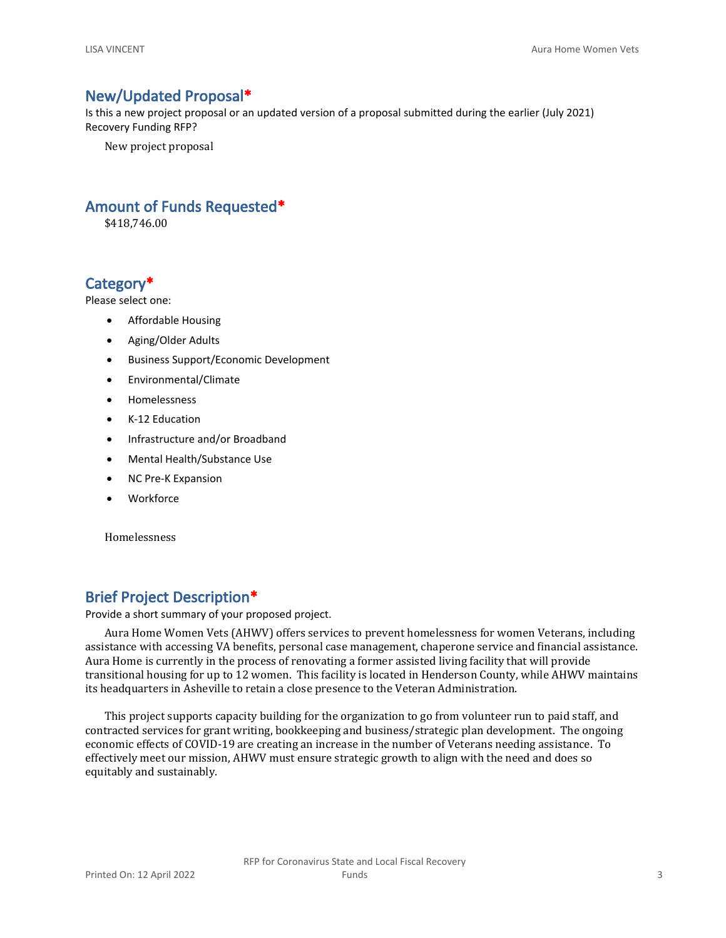#### **New/Updated Proposal\***

Is this a new project proposal or an updated version of a proposal submitted during the earlier (July 2021) Recovery Funding RFP?

New project proposal

#### **Amount of Funds Requested\***

\$418,746.00

#### **Category\***

Please select one:

- Affordable Housing
- Aging/Older Adults
- Business Support/Economic Development
- Environmental/Climate
- Homelessness
- K-12 Education
- Infrastructure and/or Broadband
- Mental Health/Substance Use
- NC Pre-K Expansion
- Workforce

Homelessness

### **Brief Project Description\***

Provide a short summary of your proposed project.

Aura Home Women Vets (AHWV) offers services to prevent homelessness for women Veterans, including assistance with accessing VA benefits, personal case management, chaperone service and financial assistance. Aura Home is currently in the process of renovating a former assisted living facility that will provide transitional housing for up to 12 women. This facility is located in Henderson County, while AHWV maintains its headquarters in Asheville to retain a close presence to the Veteran Administration.

This project supports capacity building for the organization to go from volunteer run to paid staff, and contracted services for grant writing, bookkeeping and business/strategic plan development. The ongoing economic effects of COVID-19 are creating an increase in the number of Veterans needing assistance. To effectively meet our mission, AHWV must ensure strategic growth to align with the need and does so equitably and sustainably.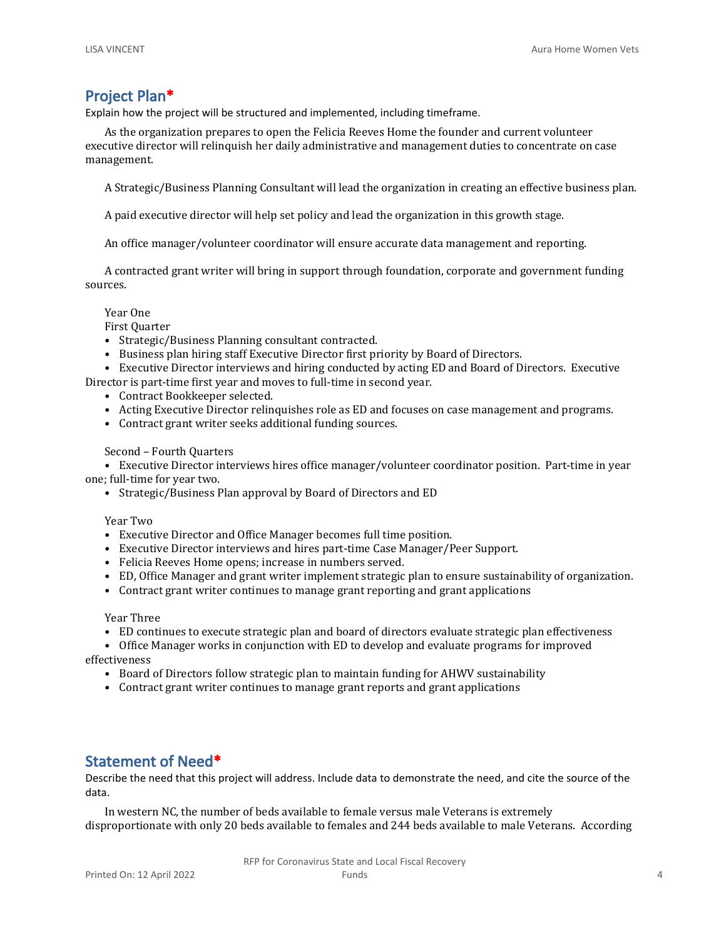#### **Project Plan\***

Explain how the project will be structured and implemented, including timeframe.

As the organization prepares to open the Felicia Reeves Home the founder and current volunteer executive director will relinquish her daily administrative and management duties to concentrate on case management.

A Strategic/Business Planning Consultant will lead the organization in creating an effective business plan.

A paid executive director will help set policy and lead the organization in this growth stage.

An office manager/volunteer coordinator will ensure accurate data management and reporting.

A contracted grant writer will bring in support through foundation, corporate and government funding sources.

Year One

First Quarter

- Strategic/Business Planning consultant contracted.
- Business plan hiring staff Executive Director first priority by Board of Directors.

• Executive Director interviews and hiring conducted by acting ED and Board of Directors. Executive Director is part-time first year and moves to full-time in second year.

- Contract Bookkeeper selected.
- Acting Executive Director relinquishes role as ED and focuses on case management and programs.
- Contract grant writer seeks additional funding sources.

Second – Fourth Quarters

• Executive Director interviews hires office manager/volunteer coordinator position. Part-time in year one; full-time for year two.

• Strategic/Business Plan approval by Board of Directors and ED

Year Two

- Executive Director and Office Manager becomes full time position.
- Executive Director interviews and hires part-time Case Manager/Peer Support.
- Felicia Reeves Home opens; increase in numbers served.
- ED, Office Manager and grant writer implement strategic plan to ensure sustainability of organization.
- Contract grant writer continues to manage grant reporting and grant applications

Year Three

• ED continues to execute strategic plan and board of directors evaluate strategic plan effectiveness

• Office Manager works in conjunction with ED to develop and evaluate programs for improved effectiveness

- Board of Directors follow strategic plan to maintain funding for AHWV sustainability
- Contract grant writer continues to manage grant reports and grant applications

#### **Statement of Need\***

Describe the need that this project will address. Include data to demonstrate the need, and cite the source of the data.

In western NC, the number of beds available to female versus male Veterans is extremely disproportionate with only 20 beds available to females and 244 beds available to male Veterans. According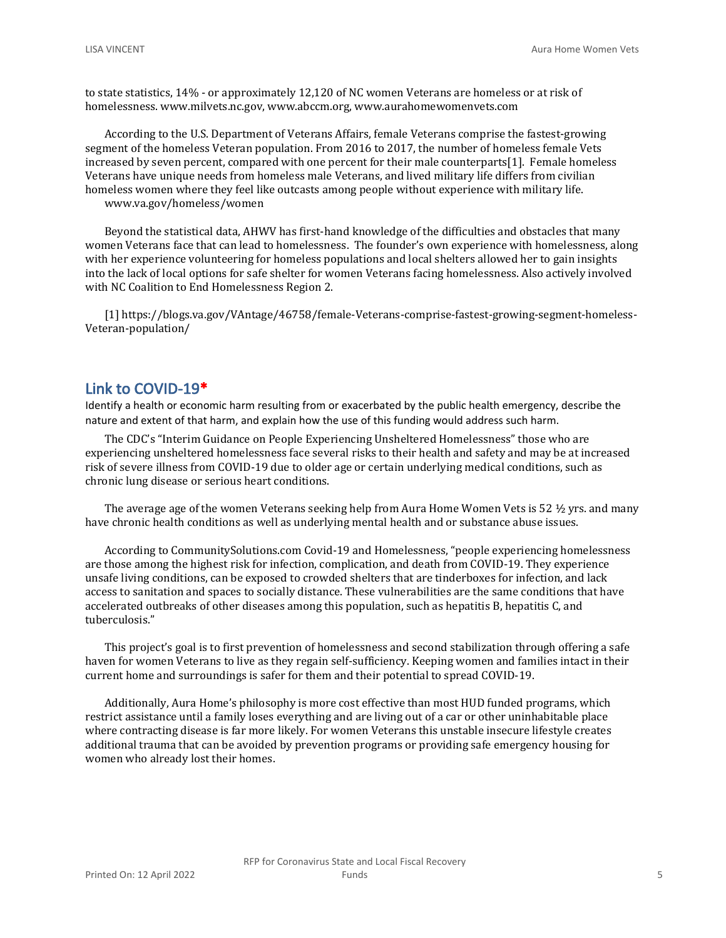to state statistics, 14% - or approximately 12,120 of NC women Veterans are homeless or at risk of homelessness. www.milvets.nc.gov, www.abccm.org, www.aurahomewomenvets.com

According to the U.S. Department of Veterans Affairs, female Veterans comprise the fastest-growing segment of the homeless Veteran population. From 2016 to 2017, the number of homeless female Vets increased by seven percent, compared with one percent for their male counterparts[1]. Female homeless Veterans have unique needs from homeless male Veterans, and lived military life differs from civilian homeless women where they feel like outcasts among people without experience with military life. www.va.gov/homeless/women

Beyond the statistical data, AHWV has first-hand knowledge of the difficulties and obstacles that many women Veterans face that can lead to homelessness. The founder's own experience with homelessness, along with her experience volunteering for homeless populations and local shelters allowed her to gain insights into the lack of local options for safe shelter for women Veterans facing homelessness. Also actively involved with NC Coalition to End Homelessness Region 2.

[1] https://blogs.va.gov/VAntage/46758/female-Veterans-comprise-fastest-growing-segment-homeless-Veteran-population/

#### **Link to COVID-19\***

Identify a health or economic harm resulting from or exacerbated by the public health emergency, describe the nature and extent of that harm, and explain how the use of this funding would address such harm.

The CDC's "Interim Guidance on People Experiencing Unsheltered Homelessness" those who are experiencing unsheltered homelessness face several risks to their health and safety and may be at increased risk of severe illness from COVID-19 due to older age or certain underlying medical conditions, such as chronic lung disease or serious heart conditions.

The average age of the women Veterans seeking help from Aura Home Women Vets is 52 ½ yrs. and many have chronic health conditions as well as underlying mental health and or substance abuse issues.

According to CommunitySolutions.com Covid-19 and Homelessness, "people experiencing homelessness are those among the highest risk for infection, complication, and death from COVID-19. They experience unsafe living conditions, can be exposed to crowded shelters that are tinderboxes for infection, and lack access to sanitation and spaces to socially distance. These vulnerabilities are the same conditions that have accelerated outbreaks of other diseases among this population, such as hepatitis B, hepatitis C, and tuberculosis."

This project's goal is to first prevention of homelessness and second stabilization through offering a safe haven for women Veterans to live as they regain self-sufficiency. Keeping women and families intact in their current home and surroundings is safer for them and their potential to spread COVID-19.

Additionally, Aura Home's philosophy is more cost effective than most HUD funded programs, which restrict assistance until a family loses everything and are living out of a car or other uninhabitable place where contracting disease is far more likely. For women Veterans this unstable insecure lifestyle creates additional trauma that can be avoided by prevention programs or providing safe emergency housing for women who already lost their homes.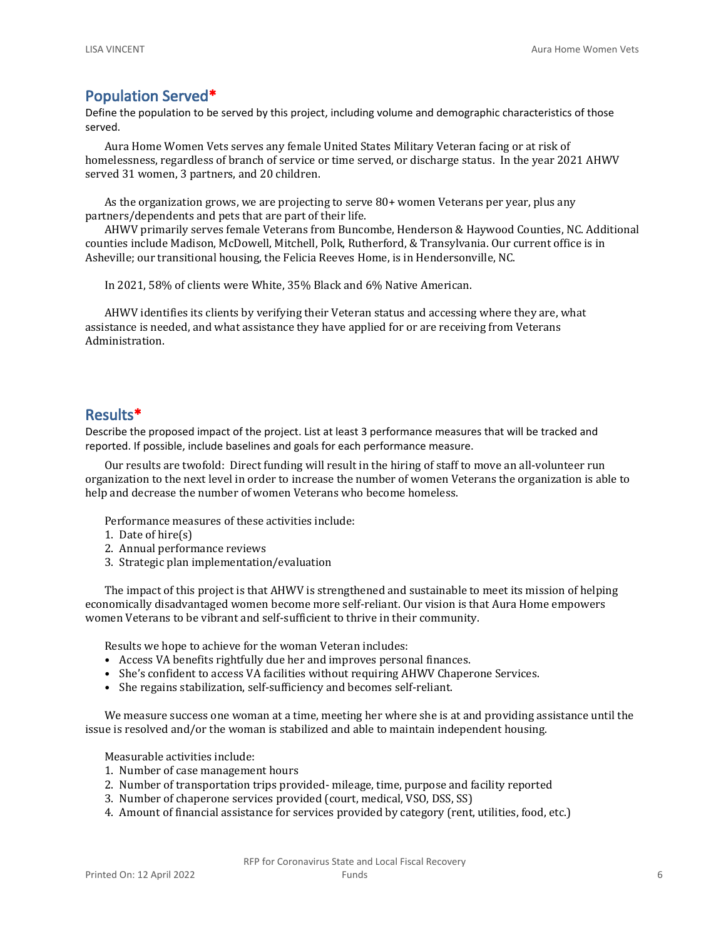#### **Population Served\***

Define the population to be served by this project, including volume and demographic characteristics of those served.

Aura Home Women Vets serves any female United States Military Veteran facing or at risk of homelessness, regardless of branch of service or time served, or discharge status. In the year 2021 AHWV served 31 women, 3 partners, and 20 children.

As the organization grows, we are projecting to serve 80+ women Veterans per year, plus any partners/dependents and pets that are part of their life.

AHWV primarily serves female Veterans from Buncombe, Henderson & Haywood Counties, NC. Additional counties include Madison, McDowell, Mitchell, Polk, Rutherford, & Transylvania. Our current office is in Asheville; our transitional housing, the Felicia Reeves Home, is in Hendersonville, NC.

In 2021, 58% of clients were White, 35% Black and 6% Native American.

AHWV identifies its clients by verifying their Veteran status and accessing where they are, what assistance is needed, and what assistance they have applied for or are receiving from Veterans Administration.

#### **Results\***

Describe the proposed impact of the project. List at least 3 performance measures that will be tracked and reported. If possible, include baselines and goals for each performance measure.

Our results are twofold: Direct funding will result in the hiring of staff to move an all-volunteer run organization to the next level in order to increase the number of women Veterans the organization is able to help and decrease the number of women Veterans who become homeless.

Performance measures of these activities include:

- 1. Date of hire(s)
- 2. Annual performance reviews
- 3. Strategic plan implementation/evaluation

The impact of this project is that AHWV is strengthened and sustainable to meet its mission of helping economically disadvantaged women become more self-reliant. Our vision is that Aura Home empowers women Veterans to be vibrant and self-sufficient to thrive in their community.

Results we hope to achieve for the woman Veteran includes:

- Access VA benefits rightfully due her and improves personal finances.
- She's confident to access VA facilities without requiring AHWV Chaperone Services.
- She regains stabilization, self-sufficiency and becomes self-reliant.

We measure success one woman at a time, meeting her where she is at and providing assistance until the issue is resolved and/or the woman is stabilized and able to maintain independent housing.

Measurable activities include:

- 1. Number of case management hours
- 2. Number of transportation trips provided- mileage, time, purpose and facility reported
- 3. Number of chaperone services provided (court, medical, VSO, DSS, SS)
- 4. Amount of financial assistance for services provided by category (rent, utilities, food, etc.)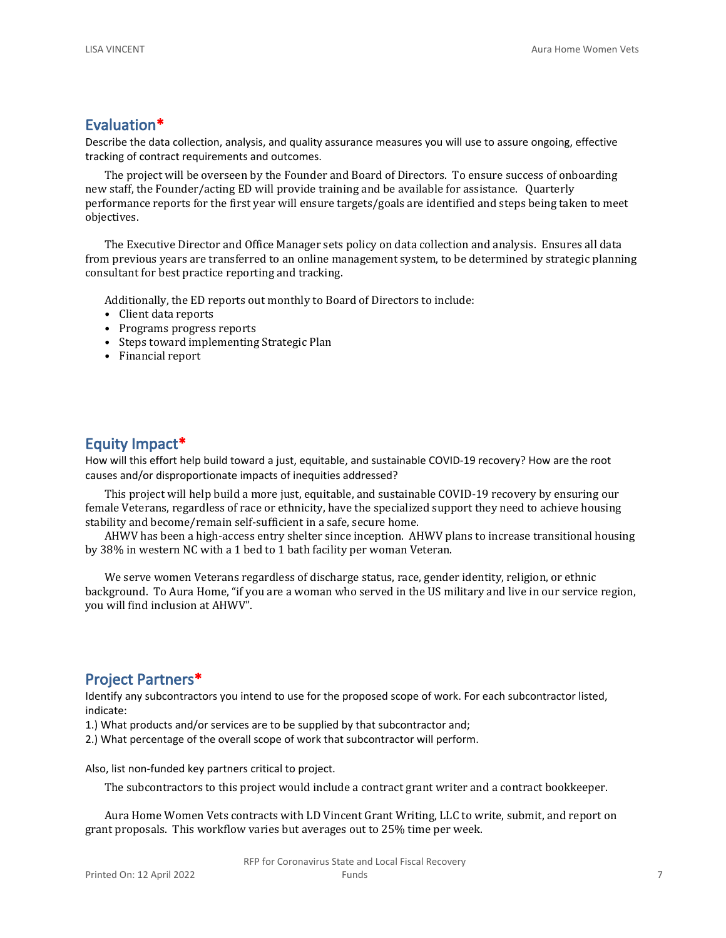#### **Evaluation\***

Describe the data collection, analysis, and quality assurance measures you will use to assure ongoing, effective tracking of contract requirements and outcomes.

The project will be overseen by the Founder and Board of Directors. To ensure success of onboarding new staff, the Founder/acting ED will provide training and be available for assistance. Quarterly performance reports for the first year will ensure targets/goals are identified and steps being taken to meet objectives.

The Executive Director and Office Manager sets policy on data collection and analysis. Ensures all data from previous years are transferred to an online management system, to be determined by strategic planning consultant for best practice reporting and tracking.

Additionally, the ED reports out monthly to Board of Directors to include:

- Client data reports
- Programs progress reports
- Steps toward implementing Strategic Plan
- Financial report

#### **Equity Impact\***

How will this effort help build toward a just, equitable, and sustainable COVID-19 recovery? How are the root causes and/or disproportionate impacts of inequities addressed?

This project will help build a more just, equitable, and sustainable COVID-19 recovery by ensuring our female Veterans, regardless of race or ethnicity, have the specialized support they need to achieve housing stability and become/remain self-sufficient in a safe, secure home.

AHWV has been a high-access entry shelter since inception. AHWV plans to increase transitional housing by 38% in western NC with a 1 bed to 1 bath facility per woman Veteran.

We serve women Veterans regardless of discharge status, race, gender identity, religion, or ethnic background. To Aura Home, "if you are a woman who served in the US military and live in our service region, you will find inclusion at AHWV".

#### **Project Partners\***

Identify any subcontractors you intend to use for the proposed scope of work. For each subcontractor listed, indicate:

1.) What products and/or services are to be supplied by that subcontractor and;

2.) What percentage of the overall scope of work that subcontractor will perform.

Also, list non-funded key partners critical to project.

The subcontractors to this project would include a contract grant writer and a contract bookkeeper.

Aura Home Women Vets contracts with LD Vincent Grant Writing, LLC to write, submit, and report on grant proposals. This workflow varies but averages out to 25% time per week.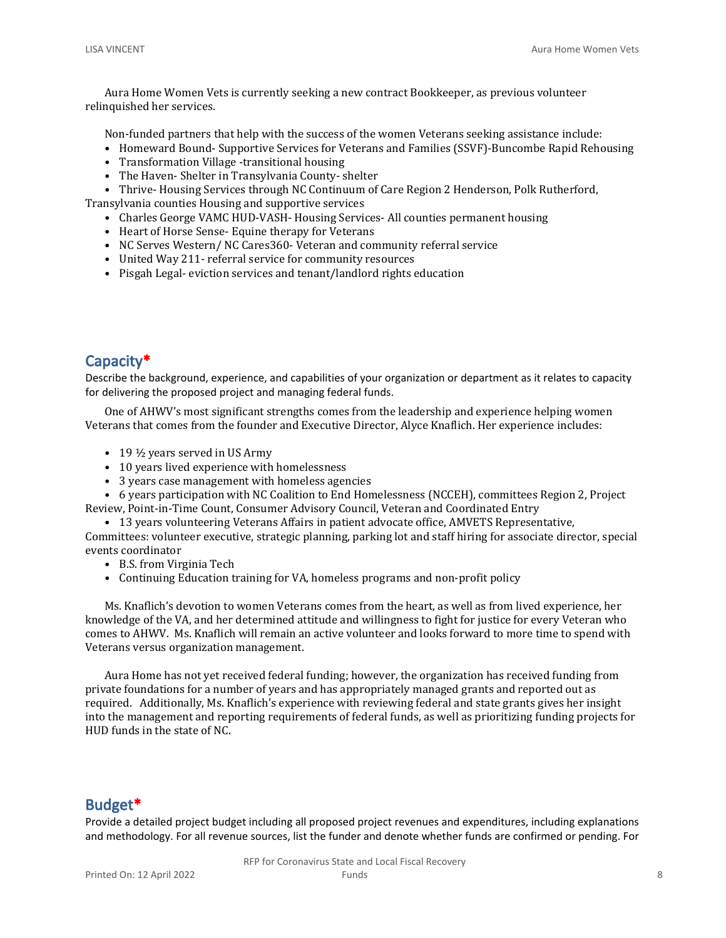Aura Home Women Vets is currently seeking a new contract Bookkeeper, as previous volunteer relinquished her services.

Non-funded partners that help with the success of the women Veterans seeking assistance include:

- Homeward Bound- Supportive Services for Veterans and Families (SSVF)-Buncombe Rapid Rehousing
- Transformation Village -transitional housing
- The Haven- Shelter in Transylvania County- shelter

• Thrive- Housing Services through NC Continuum of Care Region 2 Henderson, Polk Rutherford, Transylvania counties Housing and supportive services

- Charles George VAMC HUD-VASH- Housing Services- All counties permanent housing
- Heart of Horse Sense- Equine therapy for Veterans
- NC Serves Western/ NC Cares360- Veteran and community referral service
- United Way 211- referral service for community resources
- Pisgah Legal- eviction services and tenant/landlord rights education

### **Capacity\***

Describe the background, experience, and capabilities of your organization or department as it relates to capacity for delivering the proposed project and managing federal funds.

One of AHWV's most significant strengths comes from the leadership and experience helping women Veterans that comes from the founder and Executive Director, Alyce Knaflich. Her experience includes:

- 19  $\frac{1}{2}$  years served in US Army
- 10 years lived experience with homelessness
- 3 years case management with homeless agencies

• 6 years participation with NC Coalition to End Homelessness (NCCEH), committees Region 2, Project Review, Point-in-Time Count, Consumer Advisory Council, Veteran and Coordinated Entry

• 13 years volunteering Veterans Affairs in patient advocate office, AMVETS Representative, Committees: volunteer executive, strategic planning, parking lot and staff hiring for associate director, special events coordinator

- B.S. from Virginia Tech
- Continuing Education training for VA, homeless programs and non-profit policy

Ms. Knaflich's devotion to women Veterans comes from the heart, as well as from lived experience, her knowledge of the VA, and her determined attitude and willingness to fight for justice for every Veteran who comes to AHWV. Ms. Knaflich will remain an active volunteer and looks forward to more time to spend with Veterans versus organization management.

Aura Home has not yet received federal funding; however, the organization has received funding from private foundations for a number of years and has appropriately managed grants and reported out as required. Additionally, Ms. Knaflich's experience with reviewing federal and state grants gives her insight into the management and reporting requirements of federal funds, as well as prioritizing funding projects for HUD funds in the state of NC.

#### **Budget\***

Provide a detailed project budget including all proposed project revenues and expenditures, including explanations and methodology. For all revenue sources, list the funder and denote whether funds are confirmed or pending. For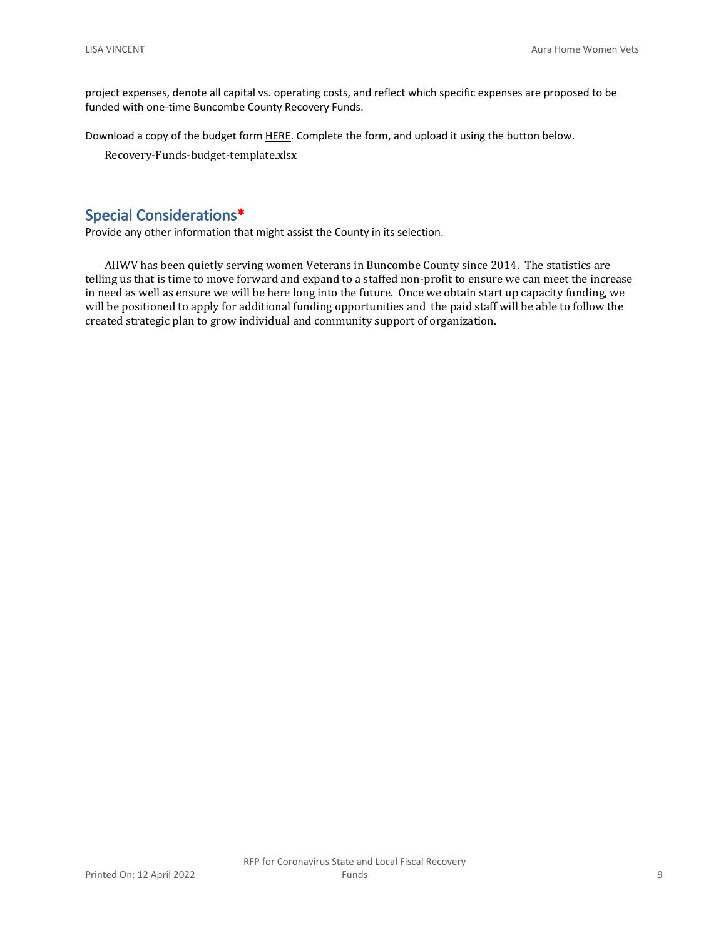project expenses, denote all capital vs. operating costs, and reflect which specific expenses are proposed to be funded with one-time Buncombe County Recovery Funds.

Download a copy of the budget form [HERE](https://buncombecounty.org/common/community-investment/grants/early-childhood-education/Recovery-Funds-budget-template.xlsx). Complete the form, and upload it using the button below.

Recovery-Funds-budget-template.xlsx

#### **Special Considerations\***

Provide any other information that might assist the County in its selection.

AHWV has been quietly serving women Veterans in Buncombe County since 2014. The statistics are telling us that is time to move forward and expand to a staffed non-profit to ensure we can meet the increase in need as well as ensure we will be here long into the future. Once we obtain start up capacity funding, we will be positioned to apply for additional funding opportunities and the paid staff will be able to follow the created strategic plan to grow individual and community support of organization.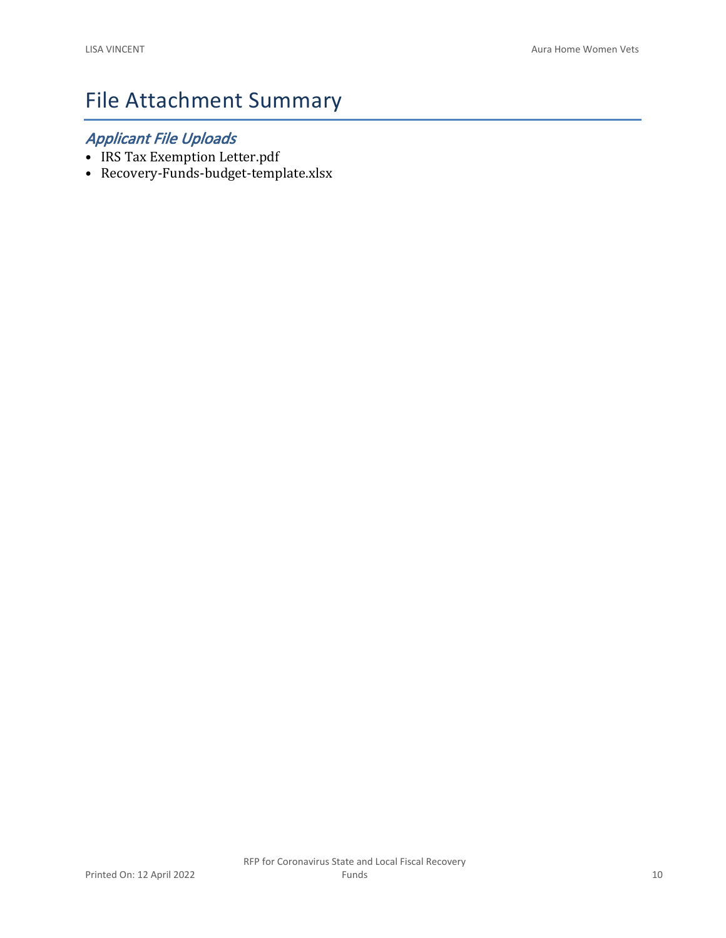# File Attachment Summary

## *Applicant File Uploads*

- IRS Tax Exemption Letter.pdf
- Recovery-Funds-budget-template.xlsx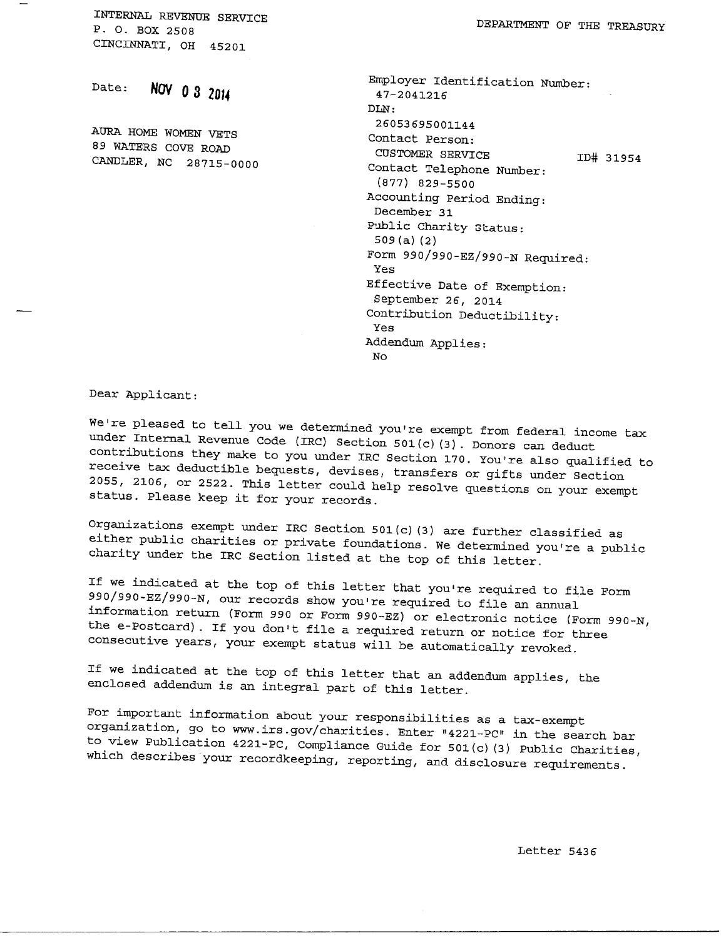**INTERNAL REVENUE SERVICE P. O. BOX 2508 CINCINNATI, OH 45201** 

**Date:** NOV 0 3 20)4

**AURA HOME WOMEN VETS 89 WATERS COVE ROAD CANDLER, NC 28715-0000**  **DEPARTMENT OP THE TREASURY** 

**Employer Identificatio n Number: 47-2041216 DLN: 26053695001144 Contac t Person :**  CUSTOMER SERVICE **ID# 31954** Contact Telephone Number: **(877) 829-5500 Accountin g Perio d Ending ; December 31**  Public Charity Status: **509 (a) (2) Form 990/990-EZ/990-N Required : Y es Effective Date of Exemption: September 26, 2 014 Contributio n Deductibility : Y es Addendum Applies : No** 

**Dear Applicant :** 

We're pleased to tell you we determined you're exempt from federal income tax **under Internal Revenue Code (IRC) Section 501(c)(3). Donors can deduct** contributions they make to you under IRC Section 170. You're also qualified to receive tax deductible bequests, devises, transfers or gifts under Section 2055, 2106, or 2522. This letter could help resolve questions on your exempt **status . Pleas e keep i t fo r you r records .** 

Organizations exempt under IRC Section 501(c)(3) are further classified as **eithe r publi c charitie s o r privat e foundations . We determined you'r e a publi c**  charity under the IRC Section listed at the top of this letter.

If we indicated at the top of this letter that you're required to file Form 990/990-EZ/990-N, our records show you're required to file an annual information return (Form 990 or Form 990-EZ) or electronic notice (Form 990-N, **t h e e-Postcard) . I f you don't fil e a require d retur n o r notic e fo r thre e**  consecutive years, your exempt status will be automatically revoked.

If we indicated at the top of this letter that an addendum applies, the **enclose d addendum i s an integra l par t of thi s letter .** 

For important information about your responsibilities as a tax-exempt **organization, go to www.irs.gov/charities. Enter "4221-PC" in the search bar t o vie w Publicatio n 4221-PC, Compliance Guide fo r 501(c)(3 ) Publi c Charities , whic h describe s you r recordkeeping , reporting , and disclosur e requirements .** 

**Lette r 543 6**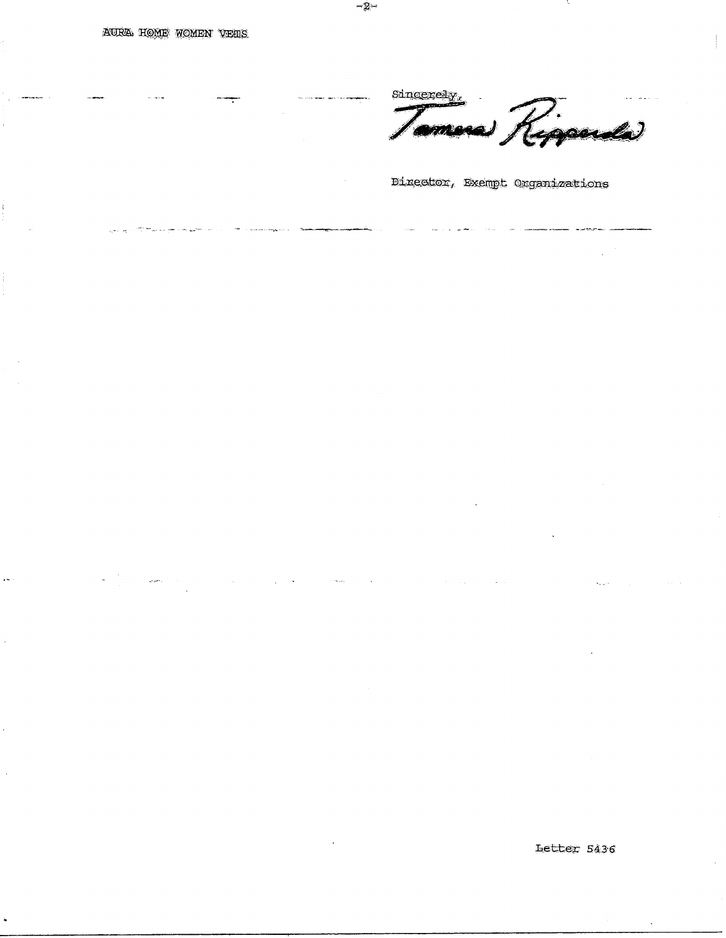**AURA HOME WOMEN VEHS** 

Sincerely,

*"Br"* 

mesa Riggarda

Director, Exempt Organizations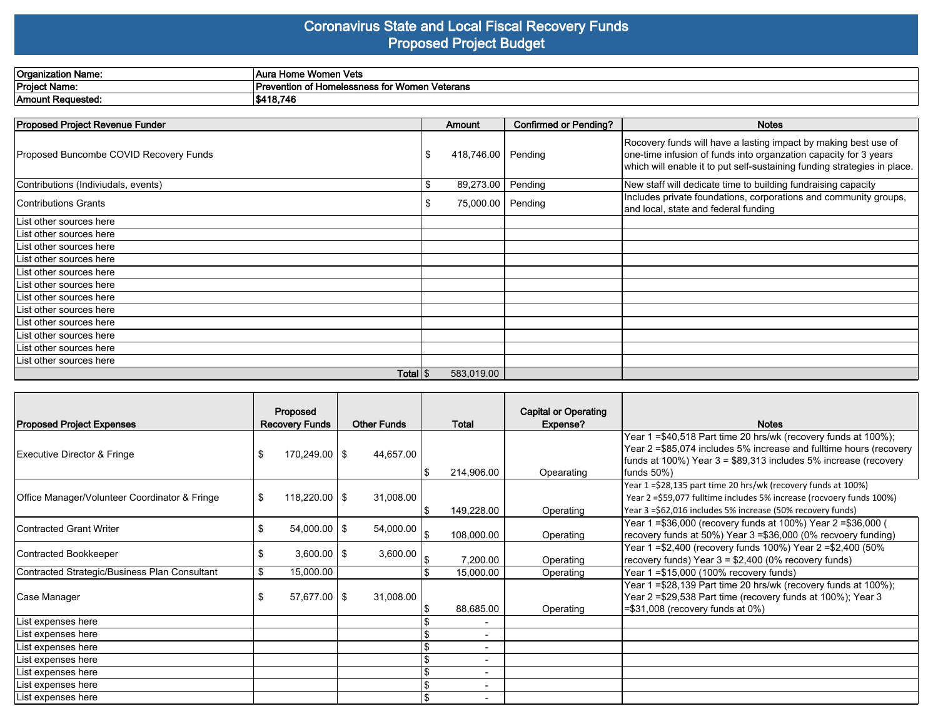#### **Coronavirus State and Local Fiscal Recovery Funds Proposed Project Budget**

| <b>Organization Name:</b>           | Women Vets<br>⊥Aura Home                                         |
|-------------------------------------|------------------------------------------------------------------|
| <b>Project Name:</b>                | * Women Veterans<br>l Prevention of Homelessness t<br>- --<br>-- |
| 'Amount<br>Poguestod<br>. Reguesteg | \$418.746                                                        |

| Proposed Project Revenue Funder        | <b>Amount</b>     | <b>Confirmed or Pending?</b> | <b>Notes</b>                                                                                                                                                                                                    |
|----------------------------------------|-------------------|------------------------------|-----------------------------------------------------------------------------------------------------------------------------------------------------------------------------------------------------------------|
| Proposed Buncombe COVID Recovery Funds | 418,746.00        | Pending                      | Rocovery funds will have a lasting impact by making best use of<br>one-time infusion of funds into organzation capacity for 3 years<br>which will enable it to put self-sustaining funding strategies in place. |
| Contributions (Indiviudals, events)    | \$<br>89,273.00   | Pending                      | New staff will dedicate time to building fundraising capacity                                                                                                                                                   |
| <b>Contributions Grants</b>            | 75,000.00 Pending |                              | Includes private foundations, corporations and community groups,<br>and local, state and federal funding                                                                                                        |
| List other sources here                |                   |                              |                                                                                                                                                                                                                 |
| List other sources here                |                   |                              |                                                                                                                                                                                                                 |
| List other sources here                |                   |                              |                                                                                                                                                                                                                 |
| List other sources here                |                   |                              |                                                                                                                                                                                                                 |
| List other sources here                |                   |                              |                                                                                                                                                                                                                 |
| List other sources here                |                   |                              |                                                                                                                                                                                                                 |
| List other sources here                |                   |                              |                                                                                                                                                                                                                 |
| List other sources here                |                   |                              |                                                                                                                                                                                                                 |
| List other sources here                |                   |                              |                                                                                                                                                                                                                 |
| List other sources here                |                   |                              |                                                                                                                                                                                                                 |
| List other sources here                |                   |                              |                                                                                                                                                                                                                 |
| List other sources here                |                   |                              |                                                                                                                                                                                                                 |
| Total $\frac{1}{3}$                    | 583,019.00        |                              |                                                                                                                                                                                                                 |

|                                               | Proposed                |                 |                    |                |                          | <b>Capital or Operating</b> |                                                                                                                                                                                                                         |
|-----------------------------------------------|-------------------------|-----------------|--------------------|----------------|--------------------------|-----------------------------|-------------------------------------------------------------------------------------------------------------------------------------------------------------------------------------------------------------------------|
| <b>Proposed Project Expenses</b>              | <b>Recovery Funds</b>   |                 | <b>Other Funds</b> |                | Total                    | Expense?                    | <b>Notes</b>                                                                                                                                                                                                            |
| Executive Director & Fringe                   | $170,249.00$   \$       |                 | 44,657.00          |                | 214,906.00               | Opearating                  | Year 1 = \$40,518 Part time 20 hrs/wk (recovery funds at 100%);<br>Year 2 = \$85,074 includes 5% increase and fulltime hours (recovery<br>funds at 100%) Year 3 = \$89,313 includes 5% increase (recovery<br>funds 50%) |
| Office Manager/Volunteer Coordinator & Fringe | $118,220.00$   \$<br>\$ |                 | 31,008.00          |                | 149,228.00               | Operating                   | Year 1=\$28,135 part time 20 hrs/wk (recovery funds at 100%)<br>Year 2 = \$59,077 fulltime includes 5% increase (rocvoery funds 100%)<br>Year 3 = \$62,016 includes 5% increase (50% recovery funds)                    |
| Contracted Grant Writer                       | $54,000.00$   \$<br>\$  |                 | 54,000.00          | $\mathfrak{L}$ | 108,000.00               | Operating                   | Year 1 =\$36,000 (recovery funds at 100%) Year 2 =\$36,000 (<br>recovery funds at 50%) Year 3 = \$36,000 (0% recvoery funding)                                                                                          |
| Contracted Bookkeeper                         | S                       | $3,600.00$   \$ | 3,600.00           |                | 7,200.00                 | Operating                   | Year 1 =\$2,400 (recovery funds 100%) Year 2 =\$2,400 (50%<br>recovery funds) Year $3 = $2,400$ (0% recovery funds)                                                                                                     |
| Contracted Strategic/Business Plan Consultant | 15,000.00<br>\$         |                 |                    |                | 15,000.00                | Operating                   | Year 1 = \$15,000 (100% recovery funds)                                                                                                                                                                                 |
| Case Manager                                  | $57,677.00$   \$        |                 | 31,008.00          |                | 88,685.00                | Operating                   | Year 1 = \$28,139 Part time 20 hrs/wk (recovery funds at 100%);<br>Year 2 =\$29,538 Part time (recovery funds at 100%); Year 3<br>=\$31,008 (recovery funds at 0%)                                                      |
| List expenses here                            |                         |                 |                    |                |                          |                             |                                                                                                                                                                                                                         |
| List expenses here                            |                         |                 |                    |                | $\overline{\phantom{a}}$ |                             |                                                                                                                                                                                                                         |
| List expenses here                            |                         |                 |                    |                | $\overline{\phantom{a}}$ |                             |                                                                                                                                                                                                                         |
| List expenses here                            |                         |                 |                    |                | $\overline{\phantom{a}}$ |                             |                                                                                                                                                                                                                         |
| List expenses here                            |                         |                 |                    |                |                          |                             |                                                                                                                                                                                                                         |
| List expenses here                            |                         |                 |                    |                | $\overline{\phantom{0}}$ |                             |                                                                                                                                                                                                                         |
| List expenses here                            |                         |                 |                    |                |                          |                             |                                                                                                                                                                                                                         |